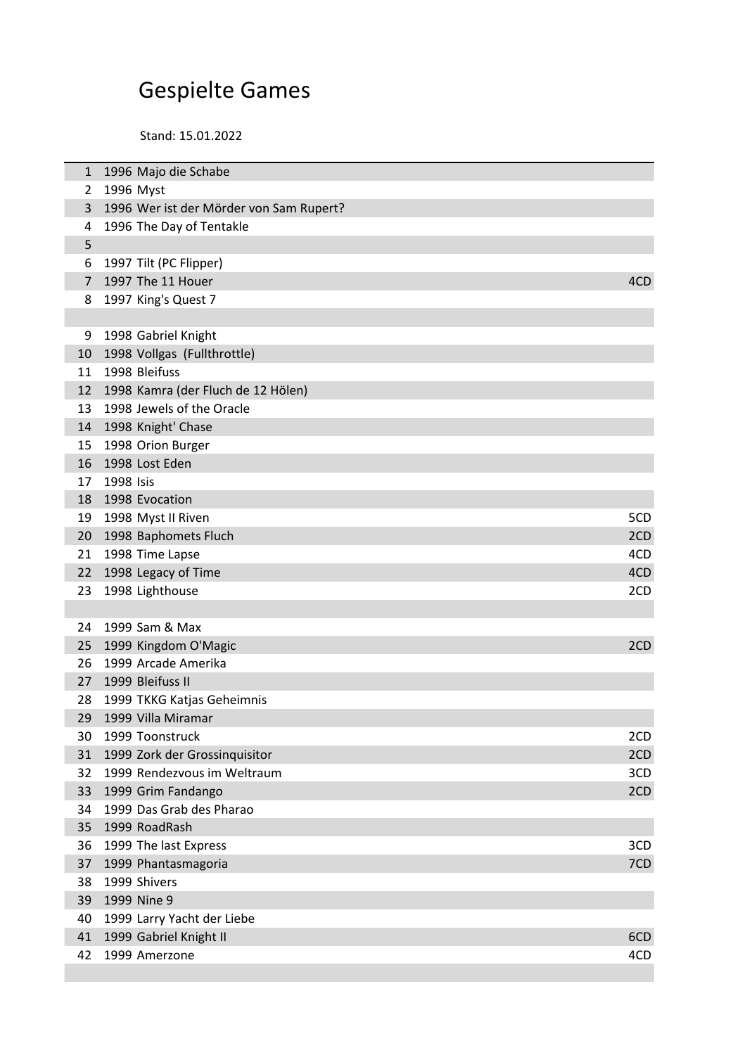## Gespielte Games

Stand: 15.01.2022

| 1              | 1996 Majo die Schabe                    |     |
|----------------|-----------------------------------------|-----|
| 2              | 1996 Myst                               |     |
| 3              | 1996 Wer ist der Mörder von Sam Rupert? |     |
| 4              | 1996 The Day of Tentakle                |     |
| 5              |                                         |     |
| 6              | 1997 Tilt (PC Flipper)                  |     |
| $\overline{7}$ | 1997 The 11 Houer                       | 4CD |
| 8              | 1997 King's Quest 7                     |     |
|                |                                         |     |
| 9              | 1998 Gabriel Knight                     |     |
| 10             | 1998 Vollgas (Fullthrottle)             |     |
| 11             | 1998 Bleifuss                           |     |
| 12             | 1998 Kamra (der Fluch de 12 Hölen)      |     |
| 13             | 1998 Jewels of the Oracle               |     |
| 14             | 1998 Knight' Chase                      |     |
| 15             | 1998 Orion Burger                       |     |
| 16             | 1998 Lost Eden                          |     |
| 17             | 1998 Isis                               |     |
| 18             | 1998 Evocation                          |     |
| 19             | 1998 Myst II Riven                      | 5CD |
| 20             | 1998 Baphomets Fluch                    | 2CD |
| 21             | 1998 Time Lapse                         | 4CD |
| 22             | 1998 Legacy of Time                     | 4CD |
| 23             | 1998 Lighthouse                         | 2CD |
|                |                                         |     |
| 24             | 1999 Sam & Max                          |     |
| 25             | 1999 Kingdom O'Magic                    | 2CD |
| 26             | 1999 Arcade Amerika                     |     |
| 27             | 1999 Bleifuss II                        |     |
| 28             | 1999 TKKG Katjas Geheimnis              |     |
| 29             | 1999 Villa Miramar                      |     |
| 30             | 1999 Toonstruck                         | 2CD |
| 31             | 1999 Zork der Grossinquisitor           | 2CD |
| 32             | 1999 Rendezvous im Weltraum             | 3CD |
| 33             | 1999 Grim Fandango                      | 2CD |
| 34             | 1999 Das Grab des Pharao                |     |
| 35             | 1999 RoadRash                           |     |
| 36             | 1999 The last Express                   | 3CD |
| 37             | 1999 Phantasmagoria                     | 7CD |
| 38             | 1999 Shivers                            |     |
| 39             | 1999 Nine 9                             |     |
| 40             | 1999 Larry Yacht der Liebe              |     |
| 41             | 1999 Gabriel Knight II                  | 6CD |
| 42             | 1999 Amerzone                           | 4CD |
|                |                                         |     |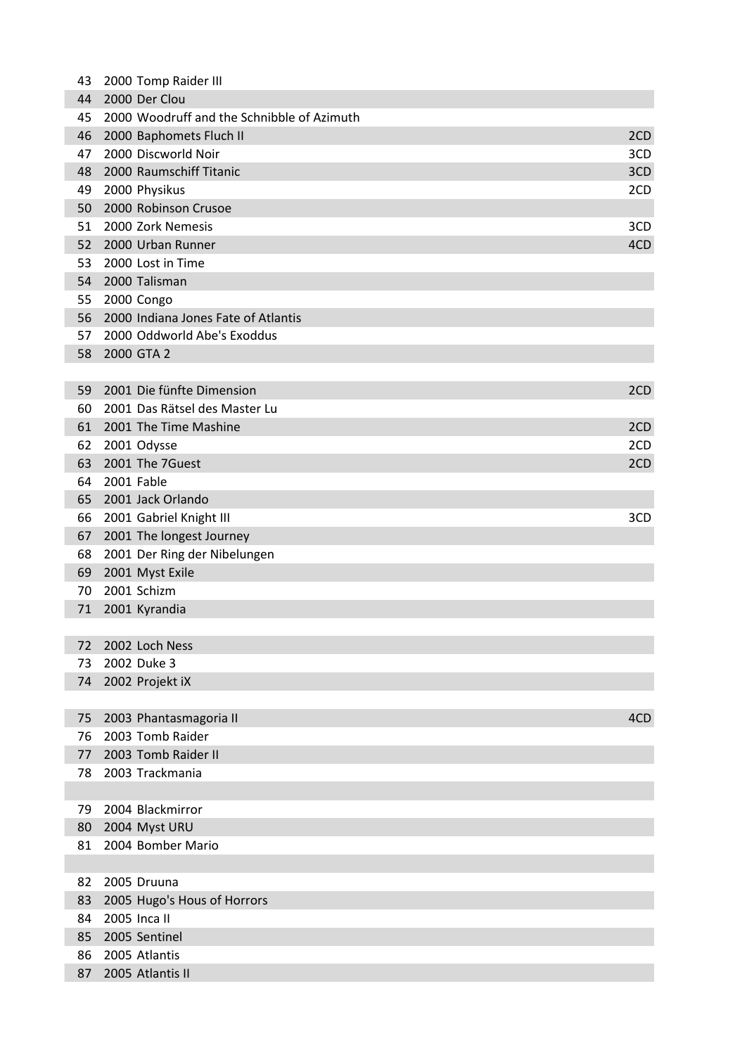| 43 | 2000 Tomp Raider III                       |     |
|----|--------------------------------------------|-----|
| 44 | 2000 Der Clou                              |     |
| 45 | 2000 Woodruff and the Schnibble of Azimuth |     |
| 46 | 2000 Baphomets Fluch II                    | 2CD |
| 47 | 2000 Discworld Noir                        | 3CD |
| 48 | 2000 Raumschiff Titanic                    | 3CD |
| 49 | 2000 Physikus                              | 2CD |
| 50 | 2000 Robinson Crusoe                       |     |
| 51 | 2000 Zork Nemesis                          | 3CD |
| 52 | 2000 Urban Runner                          | 4CD |
| 53 | 2000 Lost in Time                          |     |
| 54 | 2000 Talisman                              |     |
| 55 | 2000 Congo                                 |     |
| 56 | 2000 Indiana Jones Fate of Atlantis        |     |
| 57 | 2000 Oddworld Abe's Exoddus                |     |
| 58 | 2000 GTA 2                                 |     |
|    |                                            |     |
| 59 | 2001 Die fünfte Dimension                  | 2CD |
| 60 | 2001 Das Rätsel des Master Lu              |     |
| 61 | 2001 The Time Mashine                      | 2CD |
| 62 | 2001 Odysse                                | 2CD |
| 63 | 2001 The 7Guest                            | 2CD |
| 64 | 2001 Fable                                 |     |
| 65 | 2001 Jack Orlando                          |     |
| 66 | 2001 Gabriel Knight III                    | 3CD |
| 67 | 2001 The longest Journey                   |     |
| 68 | 2001 Der Ring der Nibelungen               |     |
| 69 | 2001 Myst Exile                            |     |
| 70 | 2001 Schizm                                |     |
| 71 | 2001 Kyrandia                              |     |
|    |                                            |     |
| 72 | 2002 Loch Ness                             |     |
| 73 | 2002 Duke 3                                |     |
| 74 | 2002 Projekt iX                            |     |
|    |                                            |     |
| 75 | 2003 Phantasmagoria II                     | 4CD |
| 76 | 2003 Tomb Raider                           |     |
| 77 | 2003 Tomb Raider II                        |     |
| 78 | 2003 Trackmania                            |     |
|    |                                            |     |
| 79 | 2004 Blackmirror                           |     |
| 80 | 2004 Myst URU                              |     |
| 81 | 2004 Bomber Mario                          |     |
|    |                                            |     |
| 82 | 2005 Druuna                                |     |
| 83 | 2005 Hugo's Hous of Horrors                |     |
| 84 | 2005 Inca II                               |     |
| 85 | 2005 Sentinel                              |     |
| 86 | 2005 Atlantis                              |     |
| 87 | 2005 Atlantis II                           |     |
|    |                                            |     |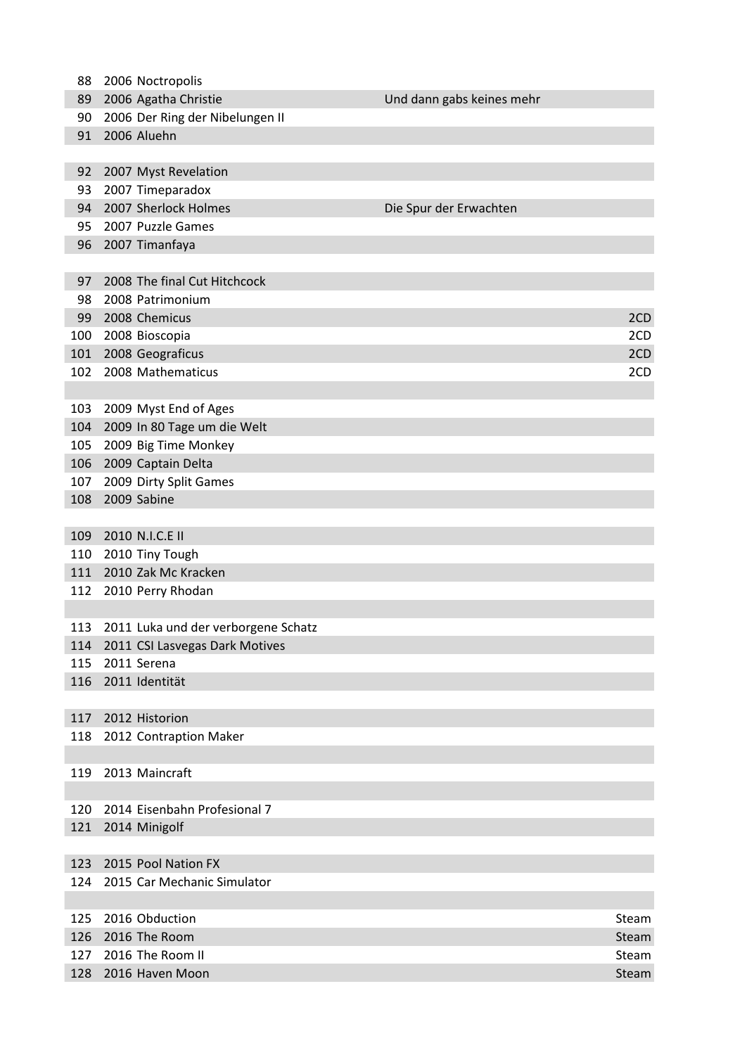| 128 | 2016 Haven Moon                     |                           | Steam |
|-----|-------------------------------------|---------------------------|-------|
| 127 | 2016 The Room II                    |                           | Steam |
|     |                                     |                           |       |
| 126 | 2016 The Room                       |                           | Steam |
| 125 | 2016 Obduction                      |                           | Steam |
|     |                                     |                           |       |
| 124 | 2015 Car Mechanic Simulator         |                           |       |
| 123 | 2015 Pool Nation FX                 |                           |       |
|     |                                     |                           |       |
| 121 | 2014 Minigolf                       |                           |       |
| 120 | 2014 Eisenbahn Profesional 7        |                           |       |
|     |                                     |                           |       |
| 119 | 2013 Maincraft                      |                           |       |
|     |                                     |                           |       |
| 118 | 2012 Contraption Maker              |                           |       |
| 117 | 2012 Historion                      |                           |       |
|     |                                     |                           |       |
| 116 | 2011 Identität                      |                           |       |
| 115 | 2011 Serena                         |                           |       |
| 114 | 2011 CSI Lasvegas Dark Motives      |                           |       |
| 113 | 2011 Luka und der verborgene Schatz |                           |       |
|     |                                     |                           |       |
| 112 | 2010 Perry Rhodan                   |                           |       |
| 111 | 2010 Zak Mc Kracken                 |                           |       |
| 110 | 2010 Tiny Tough                     |                           |       |
| 109 | 2010 N.I.C.E II                     |                           |       |
|     |                                     |                           |       |
| 108 | 2009 Sabine                         |                           |       |
| 107 | 2009 Dirty Split Games              |                           |       |
| 106 | 2009 Captain Delta                  |                           |       |
| 105 | 2009 Big Time Monkey                |                           |       |
| 104 | 2009 In 80 Tage um die Welt         |                           |       |
| 103 | 2009 Myst End of Ages               |                           |       |
|     |                                     |                           |       |
| 102 | 2008 Mathematicus                   |                           | 2CD   |
| 101 | 2008 Geograficus                    |                           | 2CD   |
| 100 | 2008 Bioscopia                      |                           | 2CD   |
| 99  | 2008 Chemicus                       |                           | 2CD   |
| 98  | 2008 Patrimonium                    |                           |       |
| 97  | 2008 The final Cut Hitchcock        |                           |       |
|     |                                     |                           |       |
| 96  | 2007 Timanfaya                      |                           |       |
| 95  | 2007 Puzzle Games                   |                           |       |
| 94  | 2007 Sherlock Holmes                | Die Spur der Erwachten    |       |
| 93  | 2007 Timeparadox                    |                           |       |
| 92  | 2007 Myst Revelation                |                           |       |
|     |                                     |                           |       |
| 91  | 2006 Aluehn                         |                           |       |
| 90  | 2006 Der Ring der Nibelungen II     |                           |       |
| 89  | 2006 Agatha Christie                | Und dann gabs keines mehr |       |
| 88  | 2006 Noctropolis                    |                           |       |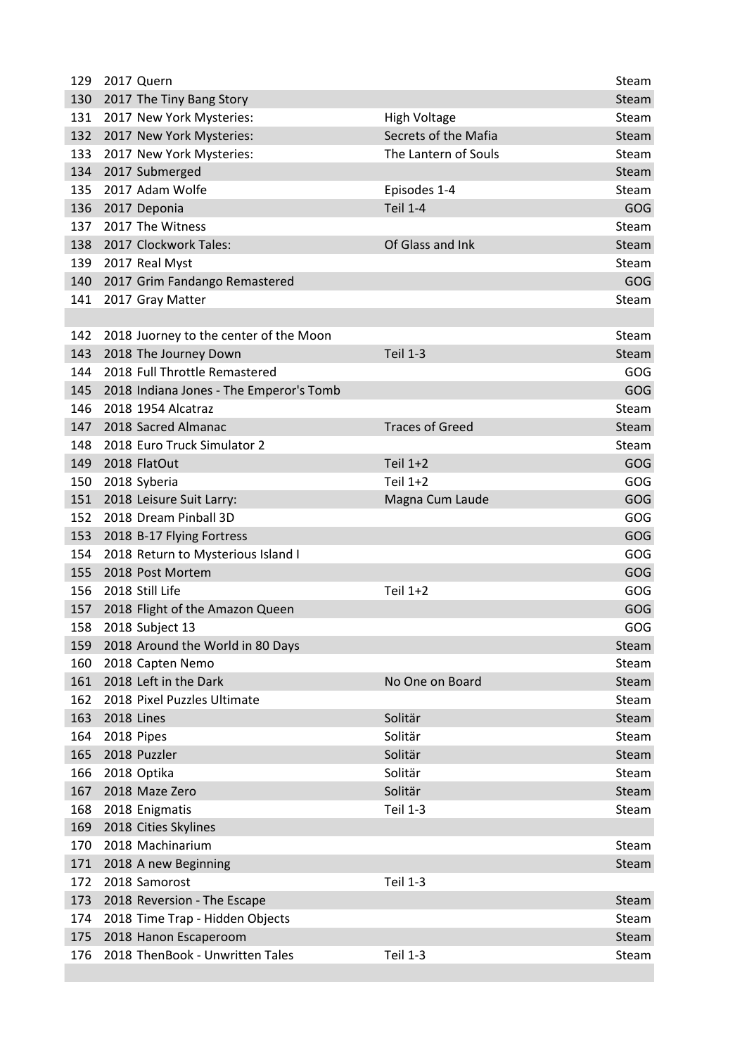| 129 | 2017 Quern                              |                        | Steam |
|-----|-----------------------------------------|------------------------|-------|
| 130 | 2017 The Tiny Bang Story                |                        | Steam |
| 131 | 2017 New York Mysteries:                | <b>High Voltage</b>    | Steam |
| 132 | 2017 New York Mysteries:                | Secrets of the Mafia   | Steam |
| 133 | 2017 New York Mysteries:                | The Lantern of Souls   | Steam |
| 134 | 2017 Submerged                          |                        | Steam |
| 135 | 2017 Adam Wolfe                         | Episodes 1-4           | Steam |
| 136 | 2017 Deponia                            | <b>Teil 1-4</b>        | GOG   |
| 137 | 2017 The Witness                        |                        | Steam |
| 138 | 2017 Clockwork Tales:                   | Of Glass and Ink       | Steam |
| 139 | 2017 Real Myst                          |                        | Steam |
| 140 | 2017 Grim Fandango Remastered           |                        | GOG   |
| 141 | 2017 Gray Matter                        |                        | Steam |
|     |                                         |                        |       |
| 142 | 2018 Juorney to the center of the Moon  |                        | Steam |
| 143 | 2018 The Journey Down                   | <b>Teil 1-3</b>        | Steam |
| 144 | 2018 Full Throttle Remastered           |                        | GOG   |
| 145 | 2018 Indiana Jones - The Emperor's Tomb |                        | GOG   |
| 146 | 2018 1954 Alcatraz                      |                        | Steam |
| 147 | 2018 Sacred Almanac                     | <b>Traces of Greed</b> | Steam |
| 148 | 2018 Euro Truck Simulator 2             |                        | Steam |
| 149 | 2018 FlatOut                            | Teil 1+2               | GOG   |
| 150 | 2018 Syberia                            | Teil 1+2               | GOG   |
| 151 | 2018 Leisure Suit Larry:                | Magna Cum Laude        | GOG   |
| 152 | 2018 Dream Pinball 3D                   |                        | GOG   |
| 153 | 2018 B-17 Flying Fortress               |                        | GOG   |
| 154 | 2018 Return to Mysterious Island I      |                        | GOG   |
| 155 | 2018 Post Mortem                        |                        | GOG   |
| 156 | 2018 Still Life                         | Teil 1+2               | GOG   |
| 157 | 2018 Flight of the Amazon Queen         |                        | GOG   |
| 158 | 2018 Subject 13                         |                        | GOG   |
| 159 | 2018 Around the World in 80 Days        |                        | Steam |
| 160 | 2018 Capten Nemo                        |                        | Steam |
| 161 | 2018 Left in the Dark                   | No One on Board        | Steam |
| 162 | 2018 Pixel Puzzles Ultimate             |                        | Steam |
| 163 | 2018 Lines                              | Solitär                | Steam |
| 164 | 2018 Pipes                              | Solitär                | Steam |
| 165 | 2018 Puzzler                            | Solitär                | Steam |
| 166 | 2018 Optika                             | Solitär                | Steam |
| 167 | 2018 Maze Zero                          | Solitär                | Steam |
| 168 | 2018 Enigmatis                          | <b>Teil 1-3</b>        | Steam |
| 169 | 2018 Cities Skylines                    |                        |       |
| 170 | 2018 Machinarium                        |                        | Steam |
| 171 | 2018 A new Beginning                    |                        | Steam |
| 172 | 2018 Samorost                           | <b>Teil 1-3</b>        |       |
| 173 | 2018 Reversion - The Escape             |                        | Steam |
| 174 | 2018 Time Trap - Hidden Objects         |                        | Steam |
| 175 | 2018 Hanon Escaperoom                   |                        | Steam |
| 176 | 2018 ThenBook - Unwritten Tales         | <b>Teil 1-3</b>        | Steam |
|     |                                         |                        |       |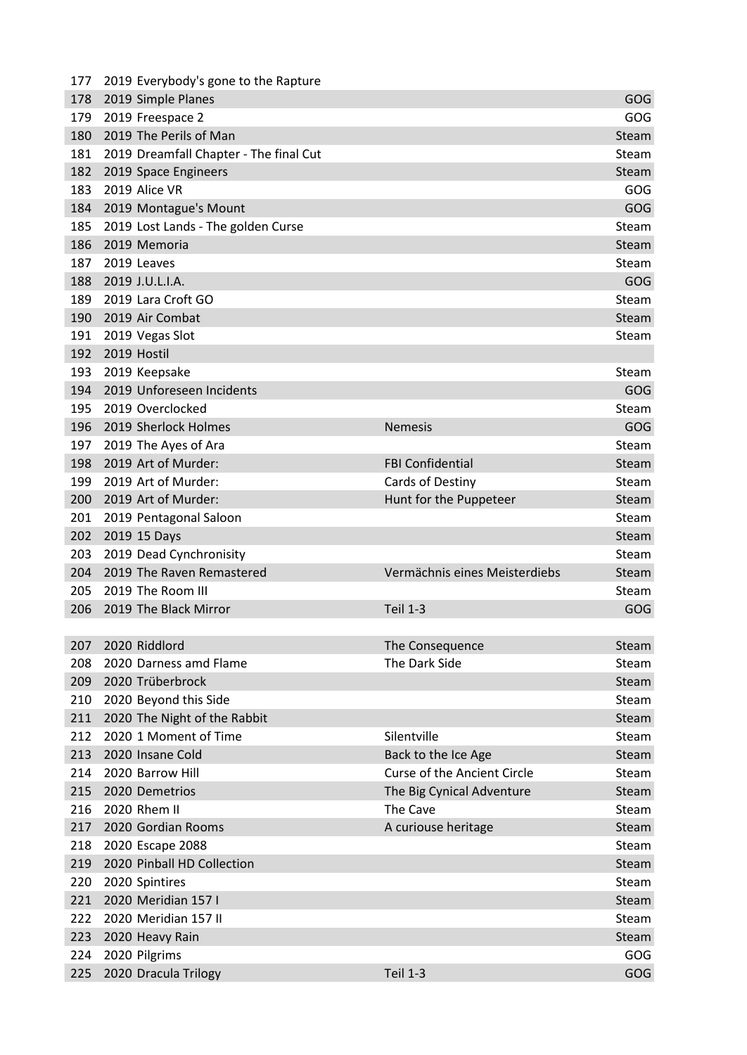| 177 | 2019 Everybody's gone to the Rapture   |                                    |            |
|-----|----------------------------------------|------------------------------------|------------|
| 178 | 2019 Simple Planes                     |                                    | GOG        |
| 179 | 2019 Freespace 2                       |                                    | GOG        |
| 180 | 2019 The Perils of Man                 |                                    | Steam      |
| 181 | 2019 Dreamfall Chapter - The final Cut |                                    | Steam      |
| 182 | 2019 Space Engineers                   |                                    | Steam      |
| 183 | 2019 Alice VR                          |                                    | GOG        |
| 184 | 2019 Montague's Mount                  |                                    | GOG        |
| 185 | 2019 Lost Lands - The golden Curse     |                                    | Steam      |
| 186 | 2019 Memoria                           |                                    | Steam      |
| 187 | 2019 Leaves                            |                                    | Steam      |
| 188 | 2019 J.U.L.I.A.                        |                                    | GOG        |
| 189 | 2019 Lara Croft GO                     |                                    | Steam      |
| 190 | 2019 Air Combat                        |                                    | Steam      |
| 191 | 2019 Vegas Slot                        |                                    | Steam      |
| 192 | 2019 Hostil                            |                                    |            |
| 193 | 2019 Keepsake                          |                                    | Steam      |
| 194 | 2019 Unforeseen Incidents              |                                    | GOG        |
| 195 | 2019 Overclocked                       |                                    | Steam      |
| 196 | 2019 Sherlock Holmes                   | <b>Nemesis</b>                     | GOG        |
| 197 | 2019 The Ayes of Ara                   |                                    | Steam      |
| 198 | 2019 Art of Murder:                    | <b>FBI Confidential</b>            | Steam      |
| 199 | 2019 Art of Murder:                    | Cards of Destiny                   | Steam      |
| 200 | 2019 Art of Murder:                    | Hunt for the Puppeteer             | Steam      |
| 201 | 2019 Pentagonal Saloon                 |                                    | Steam      |
| 202 | 2019 15 Days                           |                                    | Steam      |
| 203 | 2019 Dead Cynchronisity                |                                    | Steam      |
| 204 | 2019 The Raven Remastered              | Vermächnis eines Meisterdiebs      | Steam      |
| 205 | 2019 The Room III                      |                                    | Steam      |
| 206 | 2019 The Black Mirror                  | <b>Teil 1-3</b>                    | GOG        |
|     |                                        |                                    |            |
| 207 | 2020 Riddlord                          | The Consequence                    | Steam      |
| 208 | 2020 Darness amd Flame                 | The Dark Side                      | Steam      |
| 209 | 2020 Trüberbrock                       |                                    | Steam      |
| 210 | 2020 Beyond this Side                  |                                    | Steam      |
| 211 | 2020 The Night of the Rabbit           |                                    | Steam      |
| 212 | 2020 1 Moment of Time                  | Silentville                        | Steam      |
| 213 | 2020 Insane Cold                       | Back to the Ice Age                | Steam      |
| 214 | 2020 Barrow Hill                       | <b>Curse of the Ancient Circle</b> | Steam      |
| 215 | 2020 Demetrios                         | The Big Cynical Adventure          | Steam      |
| 216 | 2020 Rhem II                           | The Cave                           | Steam      |
| 217 | 2020 Gordian Rooms                     | A curiouse heritage                | Steam      |
| 218 | 2020 Escape 2088                       |                                    | Steam      |
| 219 | 2020 Pinball HD Collection             |                                    | Steam      |
| 220 | 2020 Spintires                         |                                    | Steam      |
| 221 | 2020 Meridian 157 I                    |                                    | Steam      |
| 222 | 2020 Meridian 157 II                   |                                    | Steam      |
| 223 | 2020 Heavy Rain                        |                                    | Steam      |
| 224 | 2020 Pilgrims                          |                                    | <b>GOG</b> |
| 225 | 2020 Dracula Trilogy                   | <b>Teil 1-3</b>                    | GOG        |